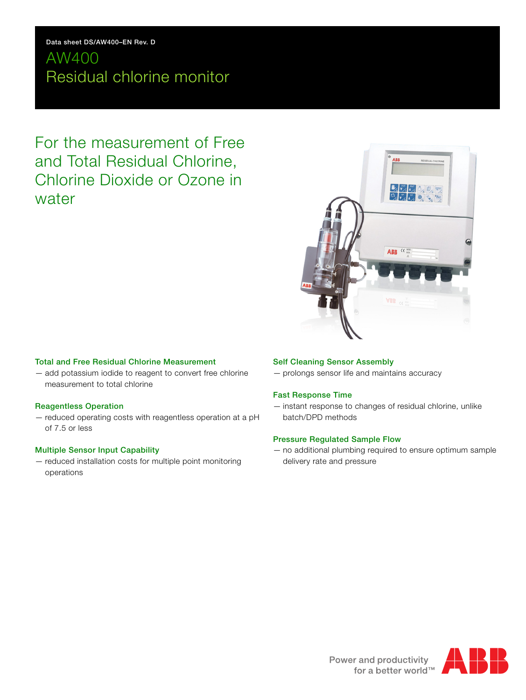## **Data sheet DS/AW400–EN Rev. D**

# AW400 Residual chlorine monitor

For the measurement of Free and Total Residual Chlorine, Chlorine Dioxide or Ozone in water

# ABB<sup>ce</sup>

# **Total and Free Residual Chlorine Measurement**

— add potassium iodide to reagent to convert free chlorine measurement to total chlorine

#### **Reagentless Operation**

— reduced operating costs with reagentless operation at a pH of 7.5 or less

#### **Multiple Sensor Input Capability**

— reduced installation costs for multiple point monitoring operations

# **Self Cleaning Sensor Assembly**

— prolongs sensor life and maintains accuracy

#### **Fast Response Time**

— instant response to changes of residual chlorine, unlike batch/DPD methods

#### **Pressure Regulated Sample Flow**

— no additional plumbing required to ensure optimum sample delivery rate and pressure

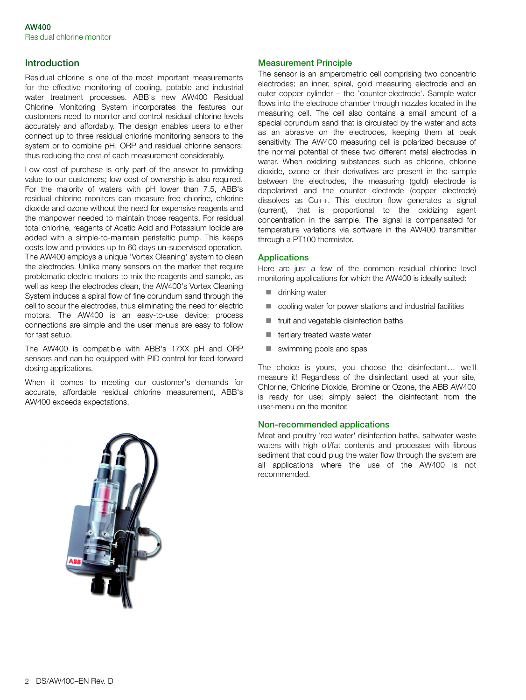# **Introduction**

Residual chlorine is one of the most important measurements for the effective monitoring of cooling, potable and industrial water treatment processes. ABB's new AW400 Residual Chlorine Monitoring System incorporates the features our customers need to monitor and control residual chlorine levels accurately and affordably. The design enables users to either connect up to three residual chlorine monitoring sensors to the system or to combine pH, ORP and residual chlorine sensors; thus reducing the cost of each measurement considerably.

Low cost of purchase is only part of the answer to providing value to our customers; low cost of ownership is also required. For the majority of waters with pH lower than 7.5, ABB's residual chlorine monitors can measure free chlorine, chlorine dioxide and ozone without the need for expensive reagents and the manpower needed to maintain those reagents. For residual total chlorine, reagents of Acetic Acid and Potassium Iodide are added with a simple-to-maintain peristaltic pump. This keeps costs low and provides up to 60 days un-supervised operation. The AW400 employs a unique 'Vortex Cleaning' system to clean the electrodes. Unlike many sensors on the market that require problematic electric motors to mix the reagents and sample, as well as keep the electrodes clean, the AW400's Vortex Cleaning System induces a spiral flow of fine corundum sand through the cell to scour the electrodes, thus eliminating the need for electric motors. The AW400 is an easy-to-use device; process connections are simple and the user menus are easy to follow for fast setup.

The AW400 is compatible with ABB's 17XX pH and ORP sensors and can be equipped with PID control for feed-forward dosing applications.

When it comes to meeting our customer's demands for accurate, affordable residual chlorine measurement, ABB's AW400 exceeds expectations.



#### **Measurement Principle**

The sensor is an amperometric cell comprising two concentric electrodes; an inner, spiral, gold measuring electrode and an outer copper cylinder – the 'counter-electrode'. Sample water flows into the electrode chamber through nozzles located in the measuring cell. The cell also contains a small amount of a special corundum sand that is circulated by the water and acts as an abrasive on the electrodes, keeping them at peak sensitivity. The AW400 measuring cell is polarized because of the normal potential of these two different metal electrodes in water. When oxidizing substances such as chlorine, chlorine dioxide, ozone or their derivatives are present in the sample between the electrodes, the measuring (gold) electrode is depolarized and the counter electrode (copper electrode) dissolves as Cu++. This electron flow generates a signal (current), that is proportional to the oxidizing agent concentration in the sample. The signal is compensated for temperature variations via software in the AW400 transmitter through a PT100 thermistor.

#### **Applications**

Here are just a few of the common residual chlorine level monitoring applications for which the AW400 is ideally suited:

- **u** drinking water
- cooling water for power stations and industrial facilities
- **T** fruit and vegetable disinfection baths
- **tertiary treated waste water**
- **E** swimming pools and spas

The choice is yours, you choose the disinfectant… we'll measure it! Regardless of the disinfectant used at your site, Chlorine, Chlorine Dioxide, Bromine or Ozone, the ABB AW400 is ready for use; simply select the disinfectant from the user-menu on the monitor.

#### **Non-recommended applications**

Meat and poultry 'red water' disinfection baths, saltwater waste waters with high oil/fat contents and processes with fibrous sediment that could plug the water flow through the system are all applications where the use of the AW400 is not recommended.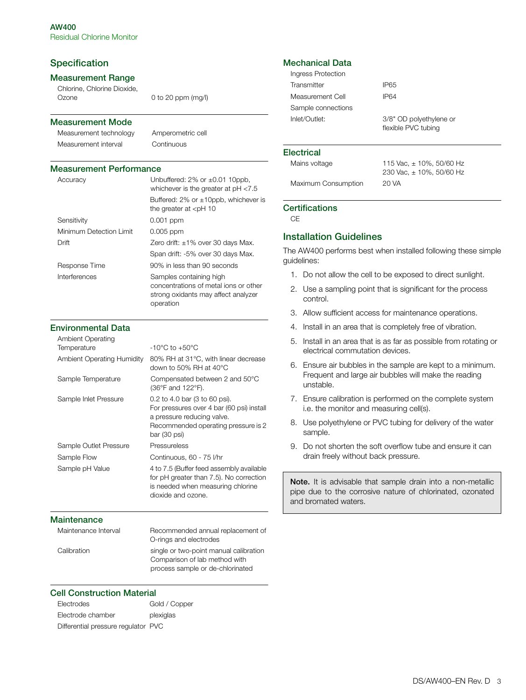# **Specification**

# **Measurement Range**

Chlorine, Chlorine Dioxide, Ozone 0 to 20 ppm (mg/l)

#### **Measurement Mode**

Measurement technology Amperometric cell Measurement interval Continuous

#### **Measurement Performance**

| Accuracy                | Unbuffered: $2\%$ or $\pm 0.01$ 10ppb,<br>whichever is the greater at $pH < 7.5$                                     |
|-------------------------|----------------------------------------------------------------------------------------------------------------------|
|                         | Buffered: $2\%$ or $\pm 10$ ppb, whichever is<br>the greater at $\lt$ pH 10                                          |
| Sensitivity             | $0.001$ ppm                                                                                                          |
| Minimum Detection Limit | $0.005$ ppm                                                                                                          |
| Drift                   | Zero drift: $\pm 1\%$ over 30 days Max.                                                                              |
|                         | Span drift: -5% over 30 days Max.                                                                                    |
| Response Time           | 90% in less than 90 seconds                                                                                          |
| Interferences           | Samples containing high<br>concentrations of metal ions or other<br>strong oxidants may affect analyzer<br>operation |

### **Environmental Data**

| $-10^{\circ}$ C to $+50^{\circ}$ C<br>Temperature<br>80% RH at 31°C, with linear decrease<br><b>Ambient Operating Humidity</b><br>down to 50% RH at 40 $^{\circ}$ C<br>Compensated between 2 and 50°C<br>Sample Temperature<br>(36°F and 122°F).<br>0.2 to 4.0 bar (3 to 60 psi).<br>Sample Inlet Pressure<br>For pressures over 4 bar (60 psi) install<br>a pressure reducing valve.<br>Recommended operating pressure is 2<br>$bar(30 \text{ psi})$<br>Sample Outlet Pressure<br>Pressureless<br>Continuous, 60 - 75 l/hr<br>Sample Flow<br>4 to 7.5 (Buffer feed assembly available<br>Sample pH Value<br>for pH greater than 7.5). No correction<br>is needed when measuring chlorine<br>dioxide and ozone. | <b>Ambient Operating</b> |  |
|-----------------------------------------------------------------------------------------------------------------------------------------------------------------------------------------------------------------------------------------------------------------------------------------------------------------------------------------------------------------------------------------------------------------------------------------------------------------------------------------------------------------------------------------------------------------------------------------------------------------------------------------------------------------------------------------------------------------|--------------------------|--|
|                                                                                                                                                                                                                                                                                                                                                                                                                                                                                                                                                                                                                                                                                                                 |                          |  |
|                                                                                                                                                                                                                                                                                                                                                                                                                                                                                                                                                                                                                                                                                                                 |                          |  |
|                                                                                                                                                                                                                                                                                                                                                                                                                                                                                                                                                                                                                                                                                                                 |                          |  |
|                                                                                                                                                                                                                                                                                                                                                                                                                                                                                                                                                                                                                                                                                                                 |                          |  |
|                                                                                                                                                                                                                                                                                                                                                                                                                                                                                                                                                                                                                                                                                                                 |                          |  |
|                                                                                                                                                                                                                                                                                                                                                                                                                                                                                                                                                                                                                                                                                                                 |                          |  |
|                                                                                                                                                                                                                                                                                                                                                                                                                                                                                                                                                                                                                                                                                                                 |                          |  |

### **Maintenance**

| Maintenance Interval | Recommended annual replacement of<br>O-rings and electrodes             |
|----------------------|-------------------------------------------------------------------------|
| Calibration          | single or two-point manual calibration<br>Comparison of lab method with |
|                      | process sample or de-chlorinated                                        |

# **Cell Construction Material**

| Electrodes                          | Gold / Copper |
|-------------------------------------|---------------|
| Electrode chamber                   | plexiglas     |
| Differential pressure regulator PVC |               |

# **Mechanical Data**

| Ingress Protection |                                                |
|--------------------|------------------------------------------------|
| Transmitter        | IP65                                           |
| Measurement Cell   | IP64                                           |
| Sample connections |                                                |
| Inlet/Outlet:      | 3/8" OD polyethylene or<br>flexible PVC tubing |

#### **Electrical**

| Mains voltage       | 115 Vac. ± 10%, 50/60 Hz<br>230 Vac, $\pm$ 10%, 50/60 Hz |
|---------------------|----------------------------------------------------------|
| Maximum Consumption | 20 VA                                                    |

#### **Certifications**

 $C =$ 

# **Installation Guidelines**

The AW400 performs best when installed following these simple guidelines:

- 1. Do not allow the cell to be exposed to direct sunlight.
- 2. Use a sampling point that is significant for the process control.
- 3. Allow sufficient access for maintenance operations.
- 4. Install in an area that is completely free of vibration.
- 5. Install in an area that is as far as possible from rotating or electrical commutation devices.
- 6. Ensure air bubbles in the sample are kept to a minimum. Frequent and large air bubbles will make the reading unstable.
- 7. Ensure calibration is performed on the complete system i.e. the monitor and measuring cell(s).
- 8. Use polyethylene or PVC tubing for delivery of the water sample.
- 9. Do not shorten the soft overflow tube and ensure it can drain freely without back pressure.

**Note.** It is advisable that sample drain into a non-metallic pipe due to the corrosive nature of chlorinated, ozonated and bromated waters.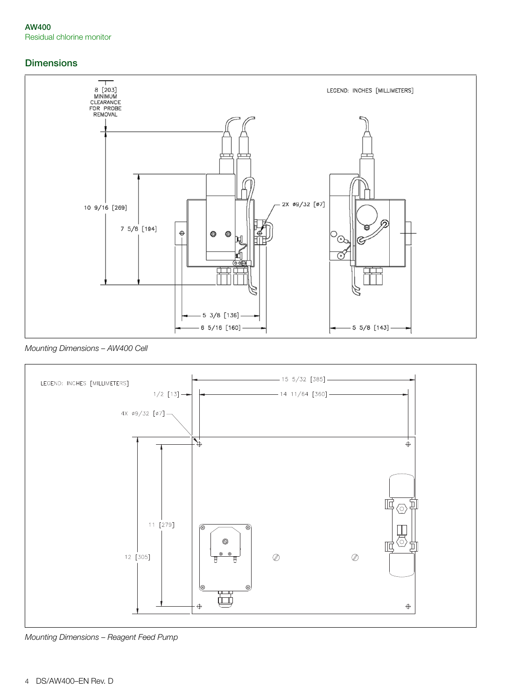# **Dimensions**



*Mounting Dimensions – AW400 Cell*



*Mounting Dimensions – Reagent Feed Pump*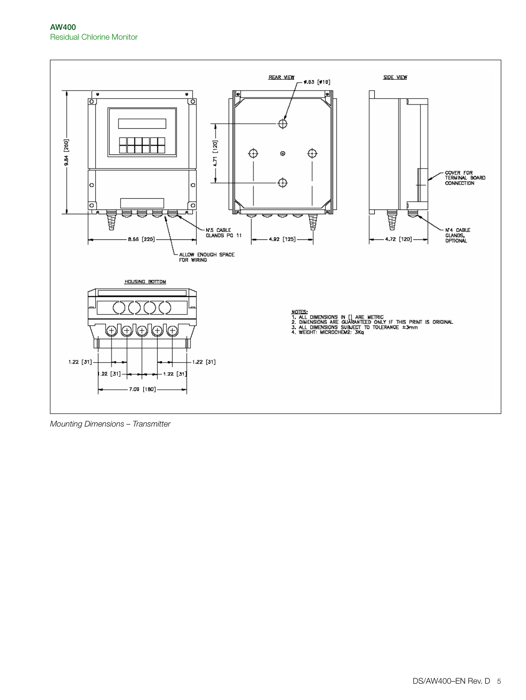

*Mounting Dimensions – Transmitter*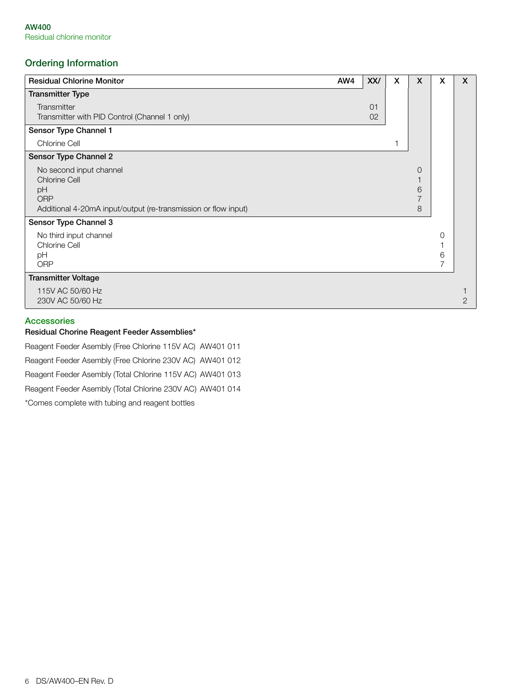# **Ordering Information**

| <b>Residual Chlorine Monitor</b>                               | AW4 | XX/ | X | X | X | X |
|----------------------------------------------------------------|-----|-----|---|---|---|---|
| <b>Transmitter Type</b>                                        |     |     |   |   |   |   |
| Transmitter                                                    |     | 01  |   |   |   |   |
| Transmitter with PID Control (Channel 1 only)                  |     | 02  |   |   |   |   |
| Sensor Type Channel 1                                          |     |     |   |   |   |   |
| <b>Chlorine Cell</b>                                           |     |     |   |   |   |   |
| Sensor Type Channel 2                                          |     |     |   |   |   |   |
| No second input channel                                        |     |     |   | O |   |   |
| <b>Chlorine Cell</b>                                           |     |     |   |   |   |   |
| pH<br><b>ORP</b>                                               |     |     |   | 6 |   |   |
| Additional 4-20mA input/output (re-transmission or flow input) |     |     |   | 8 |   |   |
| Sensor Type Channel 3                                          |     |     |   |   |   |   |
| No third input channel                                         |     |     |   |   | 0 |   |
| <b>Chlorine Cell</b>                                           |     |     |   |   |   |   |
| pH                                                             |     |     |   |   | 6 |   |
| <b>ORP</b>                                                     |     |     |   |   |   |   |
| <b>Transmitter Voltage</b>                                     |     |     |   |   |   |   |
| 115V AC 50/60 Hz                                               |     |     |   |   |   |   |
| 230V AC 50/60 Hz                                               |     |     |   |   |   | 2 |

# **Accessories**

### **Residual Chorine Reagent Feeder Assemblies\***

Reagent Feeder Asembly (Free Chlorine 115V AC) AW401 011

Reagent Feeder Asembly (Free Chlorine 230V AC) AW401 012

Reagent Feeder Asembly (Total Chlorine 115V AC) AW401 013

Reagent Feeder Asembly (Total Chlorine 230V AC) AW401 014

\*Comes complete with tubing and reagent bottles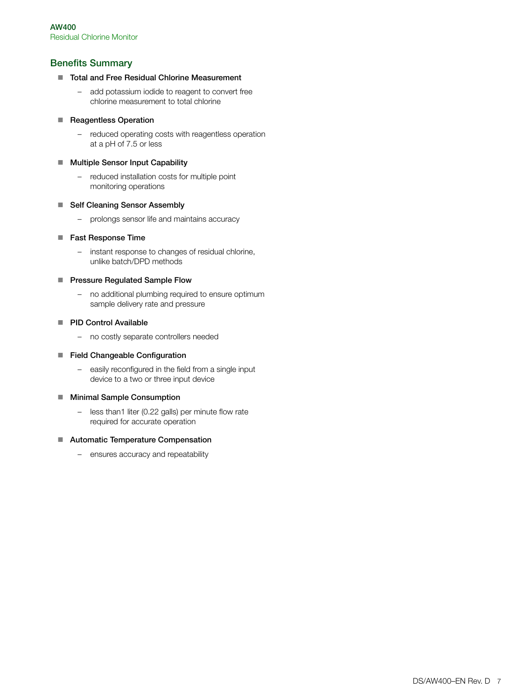# **Benefits Summary**

- Total and Free Residual Chlorine Measurement
	- add potassium iodide to reagent to convert free chlorine measurement to total chlorine

# **Reagentless Operation**

– reduced operating costs with reagentless operation at a pH of 7.5 or less

# ■ Multiple Sensor Input Capability

– reduced installation costs for multiple point monitoring operations

# ■ Self Cleaning Sensor Assembly

– prolongs sensor life and maintains accuracy

# ■ Fast Response Time

– instant response to changes of residual chlorine, unlike batch/DPD methods

# **Pressure Regulated Sample Flow**

– no additional plumbing required to ensure optimum sample delivery rate and pressure

# **PID Control Available**

– no costly separate controllers needed

# **Field Changeable Configuration**

– easily reconfigured in the field from a single input device to a two or three input device

# ■ Minimal Sample Consumption

– less than1 liter (0.22 galls) per minute flow rate required for accurate operation

# **E** Automatic Temperature Compensation

– ensures accuracy and repeatability